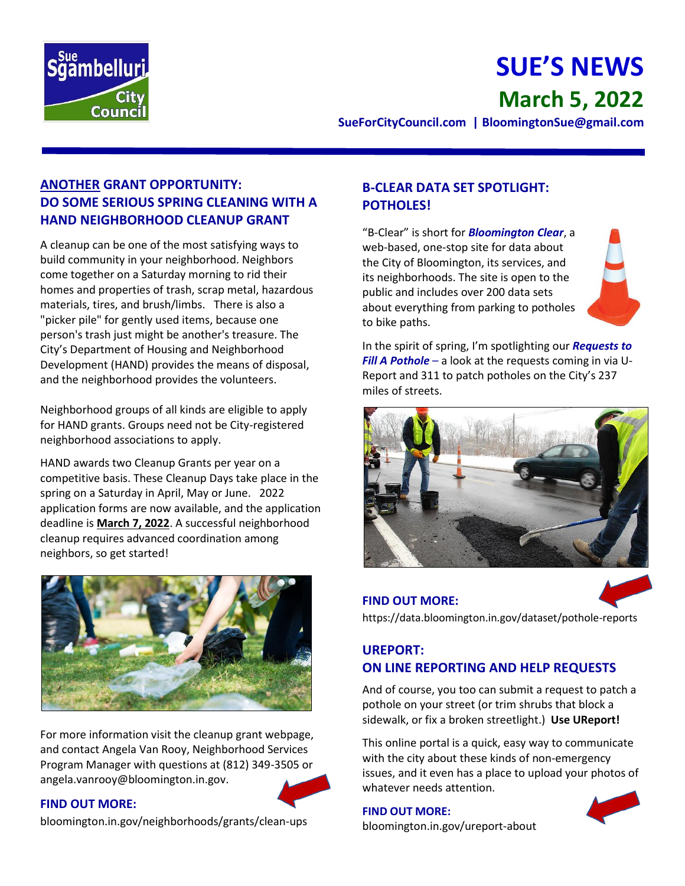

# **SUE'S NEWS March 5, 2022**

**SueForCityCouncil.com | BloomingtonSue@gmail.com**

## **ANOTHER GRANT OPPORTUNITY: DO SOME SERIOUS SPRING CLEANING WITH A HAND NEIGHBORHOOD CLEANUP GRANT**

A cleanup can be one of the most satisfying ways to build community in your neighborhood. Neighbors come together on a Saturday morning to rid their homes and properties of trash, scrap metal, hazardous materials, tires, and brush/limbs. There is also a "picker pile" for gently used items, because one person's trash just might be another's treasure. The City's Department of Housing and Neighborhood Development (HAND) provides the means of disposal, and the neighborhood provides the volunteers.

Neighborhood groups of all kinds are eligible to apply for HAND grants. Groups need not be City-registered neighborhood associations to apply.

HAND awards two Cleanup Grants per year on a competitive basis. These Cleanup Days take place in the spring on a Saturday in April, May or June. 2022 application forms are now available, and the application deadline is **March 7, 2022**. A successful neighborhood cleanup requires advanced coordination among neighbors, so get started!



For more information visit the cleanup grant webpage, and contact Angela Van Rooy, Neighborhood Services Program Manager with questions at (812) 349-3505 or angela.vanrooy@bloomington.in.gov.

#### **FIND OUT MORE:**

bloomington.in.gov/neighborhoods/grants/clean-ups

#### **B-CLEAR DATA SET SPOTLIGHT: POTHOLES!**

"B-Clear" is short for *Bloomington Clear*, a web-based, one-stop site for data about the City of Bloomington, its services, and its neighborhoods. The site is open to the public and includes over 200 data sets about everything from parking to potholes to bike paths.

In the spirit of spring, I'm spotlighting our *Requests to Fill A Pothole* – a look at the requests coming in via U-Report and 311 to patch potholes on the City's 237 miles of streets.





## **UREPORT: ON LINE REPORTING AND HELP REQUESTS**

And of course, you too can submit a request to patch a pothole on your street (or trim shrubs that block a sidewalk, or fix a broken streetlight.) **Use UReport!**

This online portal is a quick, easy way to communicate with the city about these kinds of non-emergency issues, and it even has a place to upload your photos of whatever needs attention.

**FIND OUT MORE:** [bloomington.in.gov/ureport-about](https://bloomington.in.gov/ureport-about)